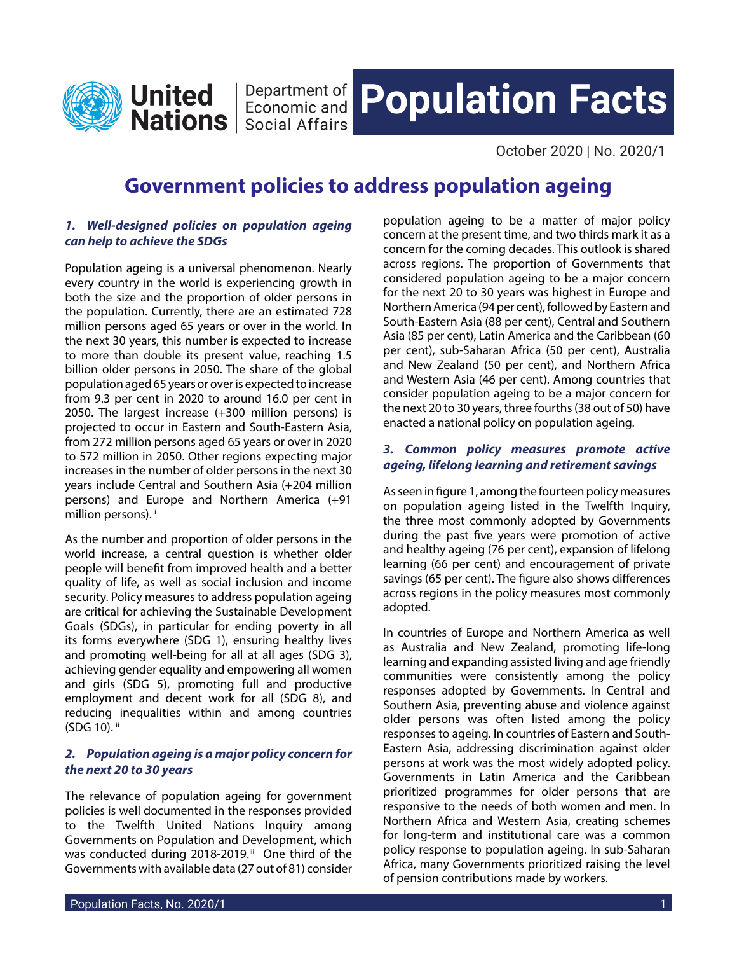<span id="page-0-0"></span>

**Nations** | Economic and **Nations** | Social Affairs

# **Department of Population Facts**

October 2020 | No. 2020/1

## **Government policies to address population ageing**

#### *1. Well-designed policies on population ageing can help to achieve the SDGs*

Population ageing is a universal phenomenon. Nearly every country in the world is experiencing growth in both the size and the proportion of older persons in the population. Currently, there are an estimated 728 million persons aged 65 years or over in the world. In the next 30 years, this number is expected to increase to more than double its present value, reaching 1.5 billion older persons in 2050. The share of the global population aged 65 years or over is expected to increase from 9.3 per cent in 2020 to around 16.0 per cent in 2050. The largest increase (+300 million persons) is projected to occur in Eastern and South-Eastern Asia, from 272 million persons aged 65 years or over in 2020 to 572 million in 2050. Other regions expecting major increases in the number of older persons in the next 30 years include Central and Southern Asia (+204 million persons) and Europe and Northern America (+91 million persons).

As the number and proportion of older persons in the world increase, a central question is whether older people will benefit from improved health and a better quality of life, as well as social inclusion and income security. Policy measures to address population ageing are critical for achieving the Sustainable Development Goals (SDGs), in particular for ending poverty in all its forms everywhere (SDG 1), ensuring healthy lives and promoting well-being for all at all ages (SDG 3), achieving gender equality and empowering all women and girls (SDG 5), promoting full and productive employment and decent work for all (SDG 8), and reducing inequalities within and among countries (SDG 10). [ii](#page-3-0)

#### *2. Population ageing is a major policy concern for the next 20 to 30 years*

The relevance of population ageing for government policies is well documented in the responses provided to the Twelfth United Nations Inquiry among Governments on Population and Development, which was conducted during 2018-2019[.iii](#page-3-0) One third of the Governments with available data (27 out of 81) consider population ageing to be a matter of major policy concern at the present time, and two thirds mark it as a concern for the coming decades. This outlook is shared across regions. The proportion of Governments that considered population ageing to be a major concern for the next 20 to 30 years was highest in Europe and Northern America (94 per cent), followed by Eastern and South-Eastern Asia (88 per cent), Central and Southern Asia (85 per cent), Latin America and the Caribbean (60 per cent), sub-Saharan Africa (50 per cent), Australia and New Zealand (50 per cent), and Northern Africa and Western Asia (46 per cent). Among countries that consider population ageing to be a major concern for the next 20 to 30 years, three fourths (38 out of 50) have enacted a national policy on population ageing.

### *3. Common policy measures promote active ageing, lifelong learning and retirement savings*

As seen in figure 1, among the fourteen policy measures on population ageing listed in the Twelfth Inquiry, the three most commonly adopted by Governments during the past five years were promotion of active and healthy ageing (76 per cent), expansion of lifelong learning (66 per cent) and encouragement of private savings (65 per cent). The figure also shows differences across regions in the policy measures most commonly adopted.

In countries of Europe and Northern America as well as Australia and New Zealand, promoting life-long learning and expanding assisted living and age friendly communities were consistently among the policy responses adopted by Governments. In Central and Southern Asia, preventing abuse and violence against older persons was often listed among the policy responses to ageing. In countries of Eastern and South-Eastern Asia, addressing discrimination against older persons at work was the most widely adopted policy. Governments in Latin America and the Caribbean prioritized programmes for older persons that are responsive to the needs of both women and men. In Northern Africa and Western Asia, creating schemes for long-term and institutional care was a common policy response to population ageing. In sub-Saharan Africa, many Governments prioritized raising the level of pension contributions made by workers.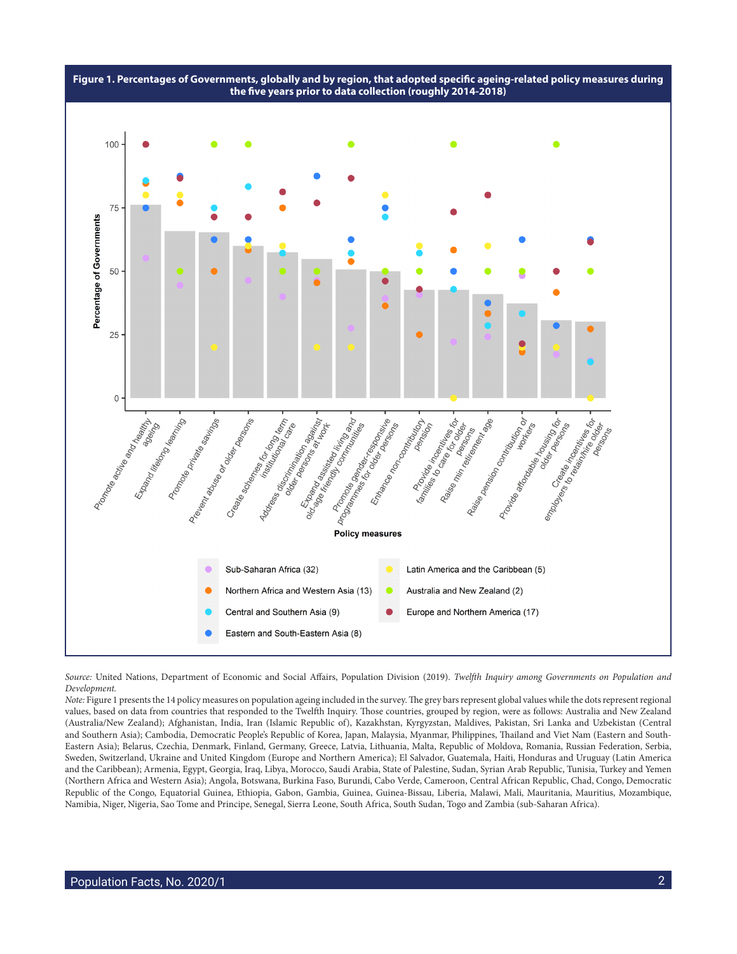

*Source:* United Nations, Department of Economic and Social Affairs, Population Division (2019). *Twelfth Inquiry among Governments on Population and Development.*

*Note:* Figure 1 presents the 14 policy measures on population ageing included in the survey. The grey bars represent global values while the dots represent regional values, based on data from countries that responded to the Twelfth Inquiry. Those countries, grouped by region, were as follows: Australia and New Zealand (Australia/New Zealand); Afghanistan, India, Iran (Islamic Republic of), Kazakhstan, Kyrgyzstan, Maldives, Pakistan, Sri Lanka and Uzbekistan (Central and Southern Asia); Cambodia, Democratic People's Republic of Korea, Japan, Malaysia, Myanmar, Philippines, Thailand and Viet Nam (Eastern and South-Eastern Asia); Belarus, Czechia, Denmark, Finland, Germany, Greece, Latvia, Lithuania, Malta, Republic of Moldova, Romania, Russian Federation, Serbia, Sweden, Switzerland, Ukraine and United Kingdom (Europe and Northern America); El Salvador, Guatemala, Haiti, Honduras and Uruguay (Latin America and the Caribbean); Armenia, Egypt, Georgia, Iraq, Libya, Morocco, Saudi Arabia, State of Palestine, Sudan, Syrian Arab Republic, Tunisia, Turkey and Yemen (Northern Africa and Western Asia); Angola, Botswana, Burkina Faso, Burundi, Cabo Verde, Cameroon, Central African Republic, Chad, Congo, Democratic Republic of the Congo, Equatorial Guinea, Ethiopia, Gabon, Gambia, Guinea, Guinea-Bissau, Liberia, Malawi, Mali, Mauritania, Mauritius, Mozambique, Namibia, Niger, Nigeria, Sao Tome and Principe, Senegal, Sierra Leone, South Africa, South Sudan, Togo and Zambia (sub-Saharan Africa).